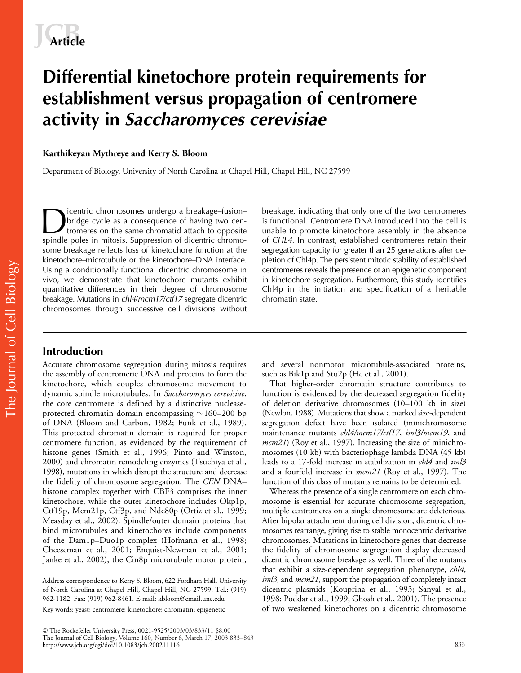# **Differential kinetochore protein requirements for establishment versus propagation of centromere activity in** *Saccharomyces cerevisiae*

# **Karthikeyan Mythreye and Kerry S. Bloom**

Department of Biology, University of North Carolina at Chapel Hill, Chapel Hill, NC 27599

icentric chromosomes undergo a breakage–fusion– bridge cycle as a consequence of having two centromeres on the same chromatid attach to opposite spindle poles in mitosis. Suppression of dicentric chromosome breakage reflects loss of kinetochore function at the kinetochore–microtubule or the kinetochore–DNA interface. Using a conditionally functional dicentric chromosome in vivo, we demonstrate that kinetochore mutants exhibit quantitative differences in their degree of chromosome breakage. Mutations in *chl4*/*mcm17*/*ctf17* segregate dicentric chromosomes through successive cell divisions without

breakage, indicating that only one of the two centromeres is functional. Centromere DNA introduced into the cell is unable to promote kinetochore assembly in the absence of *CHL4.* In contrast, established centromeres retain their segregation capacity for greater than 25 generations after depletion of Chl4p. The persistent mitotic stability of established centromeres reveals the presence of an epigenetic component in kinetochore segregation. Furthermore, this study identifies Chl4p in the initiation and specification of a heritable chromatin state.

# **Introduction**

Accurate chromosome segregation during mitosis requires the assembly of centromeric DNA and proteins to form the kinetochore, which couples chromosome movement to dynamic spindle microtubules. In *Saccharomyces cerevisiae*, the core centromere is defined by a distinctive nucleaseprotected chromatin domain encompassing  ${\sim}160{\text{--}}200$  bp of DNA (Bloom and Carbon, 1982; Funk et al., 1989). This protected chromatin domain is required for proper centromere function, as evidenced by the requirement of histone genes (Smith et al., 1996; Pinto and Winston, 2000) and chromatin remodeling enzymes (Tsuchiya et al., 1998), mutations in which disrupt the structure and decrease the fidelity of chromosome segregation. The *CEN* DNA– histone complex together with CBF3 comprises the inner kinetochore, while the outer kinetochore includes Okp1p, Ctf19p, Mcm21p, Ctf3p, and Ndc80p (Ortiz et al., 1999; Measday et al., 2002). Spindle/outer domain proteins that bind microtubules and kinetochores include components of the Dam1p–Duo1p complex (Hofmann et al., 1998; Cheeseman et al., 2001; Enquist-Newman et al., 2001; Janke et al., 2002), the Cin8p microtubule motor protein,

and several nonmotor microtubule-associated proteins, such as Bik1p and Stu2p (He et al., 2001).

That higher-order chromatin structure contributes to function is evidenced by the decreased segregation fidelity of deletion derivative chromosomes (10–100 kb in size) (Newlon, 1988). Mutations that show a marked size-dependent segregation defect have been isolated (minichromosome maintenance mutants *chl4/mcm17/ctf17*, *iml3/mcm19*, and *mcm21*) (Roy et al., 1997). Increasing the size of minichromosomes (10 kb) with bacteriophage lambda DNA (45 kb) leads to a 17-fold increase in stabilization in *chl4* and *iml3* and a fourfold increase in *mcm21* (Roy et al., 1997). The function of this class of mutants remains to be determined.

Whereas the presence of a single centromere on each chromosome is essential for accurate chromosome segregation, multiple centromeres on a single chromosome are deleterious. After bipolar attachment during cell division, dicentric chromosomes rearrange, giving rise to stable monocentric derivative chromosomes. Mutations in kinetochore genes that decrease the fidelity of chromosome segregation display decreased dicentric chromosome breakage as well. Three of the mutants that exhibit a size-dependent segregation phenotype, *chl4*, *iml3*, and *mcm21*, support the propagation of completely intact dicentric plasmids (Kouprina et al., 1993; Sanyal et al., 1998; Poddar et al., 1999; Ghosh et al., 2001). The presence of two weakened kinetochores on a dicentric chromosome

Address correspondence to Kerry S. Bloom, 622 Fordham Hall, University of North Carolina at Chapel Hill, Chapel Hill, NC 27599. Tel.: (919) 962-1182. Fax: (919) 962-8461. E-mail: kbloom@email.unc.edu

Key words: yeast; centromere; kinetochore; chromatin; epigenetic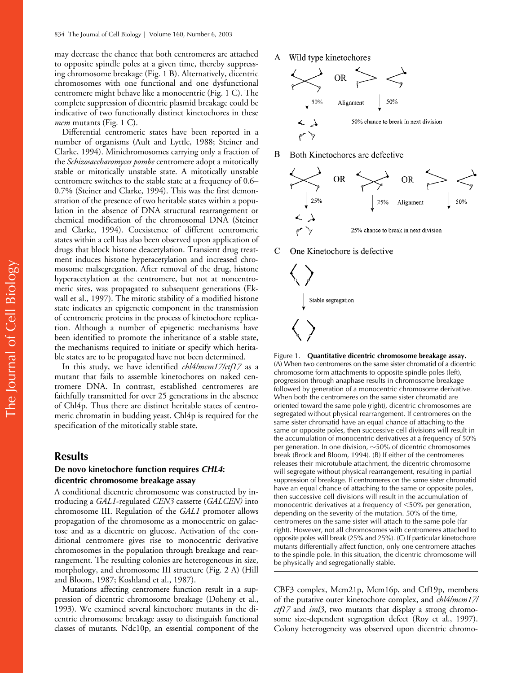may decrease the chance that both centromeres are attached to opposite spindle poles at a given time, thereby suppressing chromosome breakage (Fig. 1 B). Alternatively, dicentric chromosomes with one functional and one dysfunctional centromere might behave like a monocentric (Fig. 1 C). The complete suppression of dicentric plasmid breakage could be indicative of two functionally distinct kinetochores in these *mcm* mutants (Fig. 1 C).

Differential centromeric states have been reported in a number of organisms (Ault and Lyttle, 1988; Steiner and Clarke, 1994). Minichromosomes carrying only a fraction of the *Schizosaccharomyces pombe* centromere adopt a mitotically stable or mitotically unstable state. A mitotically unstable centromere switches to the stable state at a frequency of 0.6– 0.7% (Steiner and Clarke, 1994). This was the first demonstration of the presence of two heritable states within a population in the absence of DNA structural rearrangement or chemical modification of the chromosomal DNA (Steiner and Clarke, 1994). Coexistence of different centromeric states within a cell has also been observed upon application of drugs that block histone deacetylation. Transient drug treatment induces histone hyperacetylation and increased chromosome malsegregation. After removal of the drug, histone hyperacetylation at the centromere, but not at noncentromeric sites, was propagated to subsequent generations (Ekwall et al., 1997). The mitotic stability of a modified histone state indicates an epigenetic component in the transmission of centromeric proteins in the process of kinetochore replication. Although a number of epigenetic mechanisms have been identified to promote the inheritance of a stable state, the mechanisms required to initiate or specify which heritable states are to be propagated have not been determined.

In this study, we have identified *chl4/mcm17/ctf17* as a mutant that fails to assemble kinetochores on naked centromere DNA. In contrast, established centromeres are faithfully transmitted for over 25 generations in the absence of Chl4p. Thus there are distinct heritable states of centromeric chromatin in budding yeast. Chl4p is required for the specification of the mitotically stable state.

### **Results**

### **De novo kinetochore function requires** *CHL4***: dicentric chromosome breakage assay**

A conditional dicentric chromosome was constructed by introducing a *GAL1*-regulated *CEN3* cassette (*GALCEN)* into chromosome III. Regulation of the *GAL1* promoter allows propagation of the chromosome as a monocentric on galactose and as a dicentric on glucose. Activation of the conditional centromere gives rise to monocentric derivative chromosomes in the population through breakage and rearrangement. The resulting colonies are heterogeneous in size, morphology, and chromosome III structure (Fig. 2 A) (Hill and Bloom, 1987; Koshland et al., 1987).

Mutations affecting centromere function result in a suppression of dicentric chromosome breakage (Doheny et al., 1993). We examined several kinetochore mutants in the dicentric chromosome breakage assay to distinguish functional classes of mutants. Ndc10p, an essential component of the A Wild type kinetochores



B Both Kinetochores are defective



C One Kinetochore is defective



Figure 1. **Quantitative dicentric chromosome breakage assay.** (A) When two centromeres on the same sister chromatid of a dicentric chromosome form attachments to opposite spindle poles (left), progression through anaphase results in chromosome breakage followed by generation of a monocentric chromosome derivative. When both the centromeres on the same sister chromatid are oriented toward the same pole (right), dicentric chromosomes are segregated without physical rearrangement. If centromeres on the same sister chromatid have an equal chance of attaching to the same or opposite poles, then successive cell divisions will result in the accumulation of monocentric derivatives at a frequency of 50% per generation. In one division,  $\sim$ 50% of dicentric chromosomes break (Brock and Bloom, 1994). (B) If either of the centromeres releases their microtubule attachment, the dicentric chromosome will segregate without physical rearrangement, resulting in partial suppression of breakage. If centromeres on the same sister chromatid have an equal chance of attaching to the same or opposite poles, then successive cell divisions will result in the accumulation of monocentric derivatives at a frequency of  $\leq 50\%$  per generation, depending on the severity of the mutation. 50% of the time, centromeres on the same sister will attach to the same pole (far right). However, not all chromosomes with centromeres attached to opposite poles will break (25% and 25%). (C) If particular kinetochore mutants differentially affect function, only one centromere attaches to the spindle pole. In this situation, the dicentric chromosome will be physically and segregationally stable.

CBF3 complex, Mcm21p, Mcm16p, and Ctf19p, members of the putative outer kinetochore complex, and *chl4/mcm17/ ctf17* and *iml3*, two mutants that display a strong chromosome size-dependent segregation defect (Roy et al., 1997). Colony heterogeneity was observed upon dicentric chromo-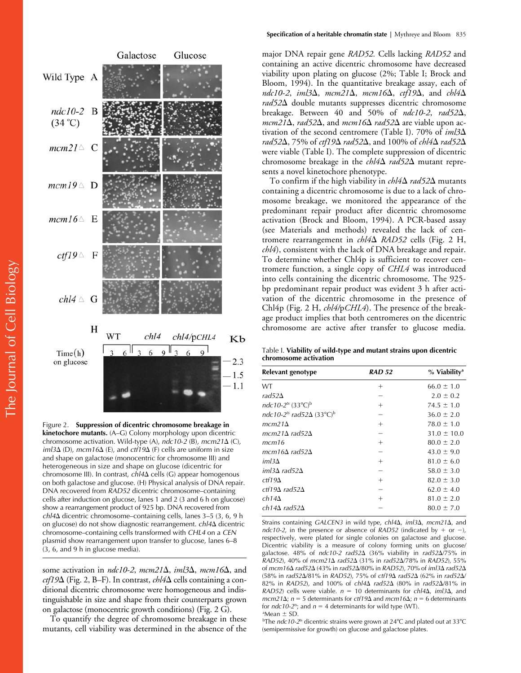

Figure 2. **Suppression of dicentric chromosome breakage in kinetochore mutants.** (A–G) Colony morphology upon dicentric chromosome activation. Wild-type (A), *ndc10*-*2* (B)*, mcm21* (C), *iml3* $\Delta$  (D), *mcm16* $\Delta$  (E), and *ctf19* $\Delta$  (F) cells are uniform in size and shape on galactose (monocentric for chromosome III) and heterogeneous in size and shape on glucose (dicentric for chromosome III). In contrast, *chl4*Δ cells (G) appear homogenous on both galactose and glucose. (H) Physical analysis of DNA repair. DNA recovered from *RAD52* dicentric chromosome–containing cells after induction on glucose, lanes 1 and 2 (3 and 6 h on glucose) show a rearrangement product of 925 bp. DNA recovered from *chl4* dicentric chromosome–containing cells, lanes 3–5 (3, 6, 9 h on glucose) do not show diagnostic rearrangement. *chl4* $\Delta$  dicentric chromosome–containing cells transformed with *CHL4* on a *CEN* plasmid show rearrangement upon transfer to glucose, lanes 6–8 (3, 6, and 9 h in glucose media).

some activation in  $ndc10-2$ ,  $mcm21\Delta$ ,  $iml3\Delta$ ,  $mcm16\Delta$ , and  $ctf19\Delta$  (Fig. 2, B–F). In contrast,  $ch/4\Delta$  cells containing a conditional dicentric chromosome were homogeneous and indistinguishable in size and shape from their counterparts grown on galactose (monocentric growth conditions) (Fig. 2 G).

To quantify the degree of chromosome breakage in these mutants, cell viability was determined in the absence of the major DNA repair gene *RAD52.* Cells lacking *RAD52* and containing an active dicentric chromosome have decreased viability upon plating on glucose (2%; Table I; Brock and Bloom, 1994). In the quantitative breakage assay, each of  $ndc10-2$ ,  $iml3\Delta$ ,  $mcm21\Delta$ ,  $mcm16\Delta$ ,  $ctf19\Delta$ , and  $chl4\Delta$ *rad52* double mutants suppresses dicentric chromosome breakage. Between 40 and 50% of *ndc10*-*2*, *rad52*,  $mcm21\Delta$ , *rad52* $\Delta$ , and  $mcm16\Delta$  *rad52* $\Delta$  are viable upon activation of the second centromere (Table I). 70% of *iml3 rad52*, 75% of *ctf19 rad52*, and 100% of *chl4 rad52* were viable (Table I). The complete suppression of dicentric chromosome breakage in the  $\ell h l 4\Delta$  *rad* 52 $\Delta$  mutant represents a novel kinetochore phenotype.

To confirm if the high viability in  $\ell h/4\Delta$  *rad52* $\Delta$  mutants containing a dicentric chromosome is due to a lack of chromosome breakage, we monitored the appearance of the predominant repair product after dicentric chromosome activation (Brock and Bloom, 1994). A PCR-based assay (see Materials and methods) revealed the lack of centromere rearrangement in  $\ell h/4\Delta$  *RAD52* cells (Fig. 2 H, *chl4*), consistent with the lack of DNA breakage and repair. To determine whether Chl4p is sufficient to recover centromere function, a single copy of *CHL4* was introduced into cells containing the dicentric chromosome. The 925 bp predominant repair product was evident 3 h after activation of the dicentric chromosome in the presence of Chl4p (Fig. 2 H, *chl4/*p*CHL4*). The presence of the breakage product implies that both centromeres on the dicentric chromosome are active after transfer to glucose media.

Table I. **Viability of wild-type and mutant strains upon dicentric chromosome activation**

| Relevant genotype                                        | <b>RAD 52</b> | % Viability <sup>a</sup> |
|----------------------------------------------------------|---------------|--------------------------|
| <b>WT</b>                                                | $^+$          | $66.0 \pm 1.0$           |
| rad52 $\Delta$                                           |               | $2.0 \pm 0.2$            |
| ndc10-2 <sup>ts</sup> (33°C) <sup>b</sup>                | $^{+}$        | $74.5 \pm 1.0$           |
| ndc10-2 <sup>ts</sup> rad52 $\Delta$ (33°C) <sup>b</sup> |               | $36.0 \pm 2.0$           |
| $mcm21\Delta$                                            | $^{+}$        | $78.0 \pm 1.0$           |
| mcm21 $\Delta$ rad52 $\Delta$                            |               | $31.0 \pm 10.0$          |
| mcm16                                                    | $^{+}$        | $80.0 \pm 2.0$           |
| mcm16 $\Delta$ rad52 $\Delta$                            |               | $43.0 \pm 9.0$           |
| iml $3\Delta$                                            | $^{+}$        | $81.0 \pm 6.0$           |
| iml3 $\Delta$ rad52 $\Delta$                             |               | $58.0 \pm 3.0$           |
| $ctf19\Delta$                                            | $^{+}$        | $82.0 \pm 3.0$           |
| $ctf19\Delta$ rad52 $\Delta$                             |               | $62.0 \pm 4.0$           |
| $ch14\Delta$                                             | $^{+}$        | $81.0 \pm 2.0$           |
| ch14 $\Delta$ rad52 $\Delta$                             |               | $80.0 \pm 7.0$           |

Strains containing *GALCEN3* in wild type, *chl4* $\Delta$ , *iml3* $\Delta$ , *mcm21* $\Delta$ , and *ndc10-2*, in the presence or absence of *RAD52* (indicated by  $+$  or  $-$ ), respectively, were plated for single colonies on galactose and glucose. Dicentric viability is a measure of colony forming units on glucose/ galactose. 48% of *ndc10-2 rad52* (36% viability in *rad52*/75% in *RAD52*), 40% of *mcm21 rad52* (31% in *rad52*/78% in *RAD52*), 55% of *mcm16 rad52* (43% in *rad52*/80% in *RAD52*), 70% of *iml3 rad52* (58% in *rad52*/81% in *RAD52*), 75% of *ctf19 rad52* (62% in *rad52*/ 82% in *RAD52*), and 100% of *chl4 rad52* (80% in *rad52*/81% in *RAD52*) cells were viable.  $n = 10$  determinants for *chl4* $\Delta$ , *iml3* $\Delta$ , and  $mcm21\Delta$ ;  $n = 5$  determinants for *ctf19* $\Delta$  and  $mcm16\Delta$ ;  $n = 6$  determinants for  $ndc10-2^{ts}$ ; and  $n = 4$  determinants for wild type (WT).  $^{\circ}$ Mean  $\pm$  SD.

<sup>b</sup>The *ndc10-2*<sup>ts</sup> dicentric strains were grown at 24°C and plated out at 33°C (semipermissive for growth) on glucose and galactose plates.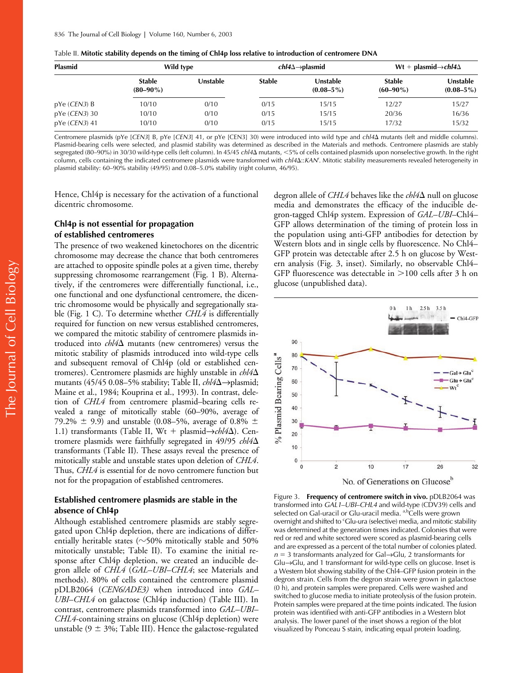| <b>Plasmid</b>           | Wild type                      |          | $chI4\Delta \rightarrow plasmid$ |                                   | Wt + plasmid $\rightarrow$ chl4 $\Delta$ |                            |
|--------------------------|--------------------------------|----------|----------------------------------|-----------------------------------|------------------------------------------|----------------------------|
|                          | <b>Stable</b><br>$(80 - 90\%)$ | Unstable | <b>Stable</b>                    | <b>Unstable</b><br>$(0.08 - 5\%)$ | <b>Stable</b><br>$(60 - 90\%)$           | Unstable<br>$(0.08 - 5\%)$ |
| pYe(CEN3)B               | 10/10                          | 0/10     | 0/15                             | 15/15                             | 12/27                                    | 15/27                      |
| $pYe$ ( <i>CEN3</i> ) 30 | 10/10                          | 0/10     | 0/15                             | 15/15                             | 20/36                                    | 16/36                      |
| pYe ( <i>CEN3</i> ) 41   | 10/10                          | 0/10     | 0/15                             | 15/15                             | 17/32                                    | 15/32                      |

|  |  |  |  | Table II. Mitotic stability depends on the timing of Chl4p loss relative to introduction of centromere DNA |
|--|--|--|--|------------------------------------------------------------------------------------------------------------|
|--|--|--|--|------------------------------------------------------------------------------------------------------------|

Centromere plasmids (pYe [*CEN3*] B, pYe [*CEN3*] 41, or pYe [CEN3] 30) were introduced into wild type and *chl4* mutants (left and middle columns). Plasmid-bearing cells were selected, and plasmid stability was determined as described in the Materials and methods. Centromere plasmids are stably segregated (80–90%) in 30/30 wild-type cells (left column). In 45/45 *chl4* mutants, -5% of cells contained plasmids upon nonselective growth. In the right column, cells containing the indicated centromere plasmids were transformed with *chl4*::*KANr* . Mitotic stability measurements revealed heterogeneity in plasmid stability: 60–90% stability (49/95) and 0.08–5.0% stability (right column, 46/95).

Hence, Chl4p is necessary for the activation of a functional dicentric chromosome*.*

# **Chl4p is not essential for propagation of established centromeres**

The presence of two weakened kinetochores on the dicentric chromosome may decrease the chance that both centromeres are attached to opposite spindle poles at a given time, thereby suppressing chromosome rearrangement (Fig. 1 B). Alternatively, if the centromeres were differentially functional, i.e., one functional and one dysfunctional centromere, the dicentric chromosome would be physically and segregationally stable (Fig. 1 C). To determine whether *CHL4* is differentially required for function on new versus established centromeres, we compared the mitotic stability of centromere plasmids introduced into  $\frac{ch}{4\Delta}$  mutants (new centromeres) versus the mitotic stability of plasmids introduced into wild-type cells and subsequent removal of Chl4p (old or established centromeres). Centromere plasmids are highly unstable in *chl4* mutants (45/45 0.08–5% stability; Table II, *chl4*∆→plasmid; Maine et al., 1984; Kouprina et al., 1993). In contrast, deletion of *CHL4* from centromere plasmid–bearing cells revealed a range of mitotically stable (60–90%, average of 79.2%  $\pm$  9.9) and unstable (0.08–5%, average of 0.8%  $\pm$ 1.1) transformants (Table II, Wt + plasmid→*chl4*Δ). Centromere plasmids were faithfully segregated in 49/95 *chl4* transformants (Table II). These assays reveal the presence of mitotically stable and unstable states upon deletion of *CHL4*. Thus, *CHL4* is essential for de novo centromere function but not for the propagation of established centromeres.

# **Established centromere plasmids are stable in the absence of Chl4p**

Although established centromere plasmids are stably segregated upon Chl4p depletion, there are indications of differentially heritable states ( $\sim$ 50% mitotically stable and 50% mitotically unstable; Table II). To examine the initial response after Chl4p depletion, we created an inducible degron allele of *CHL4* (*GAL–UBI*–*CHL4*; see Materials and methods). 80% of cells contained the centromere plasmid pDLB2064 (*CEN6/ADE3)* when introduced into *GAL– UBI*–*CHL4* on galactose (Chl4p induction) (Table III). In contrast, centromere plasmids transformed into *GAL–UBI*– *CHL4*-containing strains on glucose (Chl4p depletion) were unstable ( $9 \pm 3\%$ ; Table III). Hence the galactose-regulated

degron allele of *CHL4* behaves like the *chl4* $\Delta$  null on glucose media and demonstrates the efficacy of the inducible degron-tagged Chl4p system. Expression of *GAL–UBI*–Chl4– GFP allows determination of the timing of protein loss in the population using anti-GFP antibodies for detection by Western blots and in single cells by fluorescence. No Chl4– GFP protein was detectable after 2.5 h on glucose by Western analysis (Fig. 3, inset). Similarly, no observable Chl4– GFP fluorescence was detectable in  $>$ 100 cells after 3 h on glucose (unpublished data).



Figure 3. **Frequency of centromere switch in vivo***.* pDLB2064 was transformed into *GAL1*–*UBI*–*CHL4* and wild-type (CDV39) cells and selected on Gal-uracil or Glu-uracil media. <sup>a,b</sup>Cells were grown overnight and shifted to 'Glu-ura (selective) media, and mitotic stability was determined at the generation times indicated. Colonies that were red or red and white sectored were scored as plasmid-bearing cells and are expressed as a percent of the total number of colonies plated. *n* = 3 transformants analyzed for Gal→Glu, 2 transformants for Glu→Glu, and 1 transformant for wild-type cells on glucose. Inset is a Western blot showing stability of the Chl4–GFP fusion protein in the degron strain. Cells from the degron strain were grown in galactose (0 h), and protein samples were prepared. Cells were washed and switched to glucose media to initiate proteolysis of the fusion protein. Protein samples were prepared at the time points indicated. The fusion protein was identified with anti-GFP antibodies in a Western blot analysis. The lower panel of the inset shows a region of the blot visualized by Ponceau S stain, indicating equal protein loading.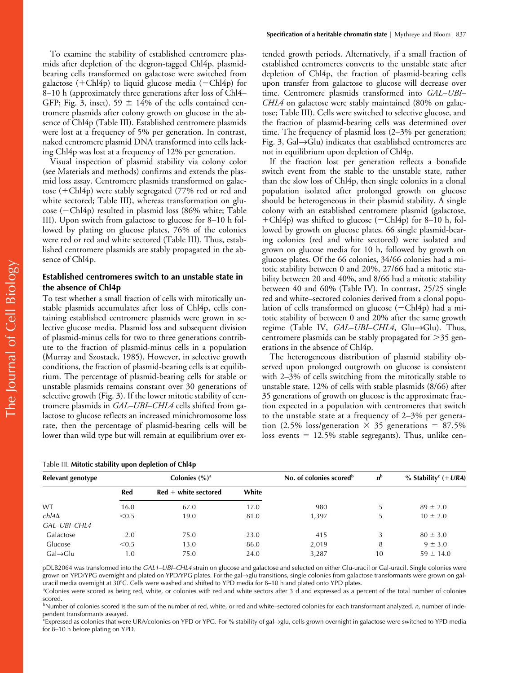To examine the stability of established centromere plasmids after depletion of the degron-tagged Chl4p, plasmidbearing cells transformed on galactose were switched from galactose (+Chl4p) to liquid glucose media (-Chl4p) for 8–10 h (approximately three generations after loss of Chl4– GFP; Fig. 3, inset). 59  $\pm$  14% of the cells contained centromere plasmids after colony growth on glucose in the absence of Chl4p (Table III). Established centromere plasmids were lost at a frequency of 5% per generation. In contrast, naked centromere plasmid DNA transformed into cells lacking Chl4p was lost at a frequency of 12% per generation.

Visual inspection of plasmid stability via colony color (see Materials and methods) confirms and extends the plasmid loss assay. Centromere plasmids transformed on galactose  $(+Chl4p)$  were stably segregated (77% red or red and white sectored; Table III), whereas transformation on glu- $\csc$  ( $-Ch14p$ ) resulted in plasmid loss (86% white; Table III). Upon switch from galactose to glucose for 8–10 h followed by plating on glucose plates, 76% of the colonies were red or red and white sectored (Table III). Thus, established centromere plasmids are stably propagated in the absence of Chl4p.

# **Established centromeres switch to an unstable state in the absence of Chl4p**

To test whether a small fraction of cells with mitotically unstable plasmids accumulates after loss of Chl4p, cells containing established centromere plasmids were grown in selective glucose media. Plasmid loss and subsequent division of plasmid-minus cells for two to three generations contribute to the fraction of plasmid-minus cells in a population (Murray and Szostack, 1985). However, in selective growth conditions, the fraction of plasmid-bearing cells is at equilibrium. The percentage of plasmid-bearing cells for stable or unstable plasmids remains constant over 30 generations of selective growth (Fig. 3). If the lower mitotic stability of centromere plasmids in *GAL–UBI*–*CHL4* cells shifted from galactose to glucose reflects an increased minichromosome loss rate, then the percentage of plasmid-bearing cells will be lower than wild type but will remain at equilibrium over ex-

tended growth periods. Alternatively, if a small fraction of established centromeres converts to the unstable state after depletion of Chl4p, the fraction of plasmid-bearing cells upon transfer from galactose to glucose will decrease over time. Centromere plasmids transformed into *GAL*–*UBI*– *CHL4* on galactose were stably maintained (80% on galactose; Table III). Cells were switched to selective glucose, and the fraction of plasmid-bearing cells was determined over time. The frequency of plasmid loss (2–3% per generation; Fig. 3, Gal→Glu) indicates that established centromeres are not in equilibrium upon depletion of Chl4p.

If the fraction lost per generation reflects a bonafide switch event from the stable to the unstable state, rather than the slow loss of Chl4p, then single colonies in a clonal population isolated after prolonged growth on glucose should be heterogeneous in their plasmid stability. A single colony with an established centromere plasmid (galactose, +Chl4p) was shifted to glucose  $(-\text{Chl4p})$  for 8–10 h, followed by growth on glucose plates. 66 single plasmid-bearing colonies (red and white sectored) were isolated and grown on glucose media for 10 h, followed by growth on glucose plates. Of the 66 colonies, 34/66 colonies had a mitotic stability between 0 and 20%, 27/66 had a mitotic stability between 20 and 40%, and 8/66 had a mitotic stability between 40 and 60% (Table IV). In contrast, 25/25 single red and white–sectored colonies derived from a clonal population of cells transformed on glucose  $(-\text{Chl4p})$  had a mitotic stability of between 0 and 20% after the same growth regime (Table IV, *GAL*–*UBI*–*CHL4*, Glu→Glu). Thus, centromere plasmids can be stably propagated for  $>35$  generations in the absence of Chl4p.

The heterogeneous distribution of plasmid stability observed upon prolonged outgrowth on glucose is consistent with 2–3% of cells switching from the mitotically stable to unstable state. 12% of cells with stable plasmids (8/66) after 35 generations of growth on glucose is the approximate fraction expected in a population with centromeres that switch to the unstable state at a frequency of 2–3% per generation (2.5% loss/generation  $\times$  35 generations = 87.5% loss events  $= 12.5\%$  stable segregants). Thus, unlike cen-

| Relevant genotype    |       | Colonies $(\%)^a$      | No. of colonies scored <sup>b</sup> | $n^{\rm b}$ | % Stability <sup>c</sup> $(+ URA)$ |               |
|----------------------|-------|------------------------|-------------------------------------|-------------|------------------------------------|---------------|
|                      | Red   | $Red + white$ sectored | White                               |             |                                    |               |
| WT                   | 16.0  | 67.0                   | 17.0                                | 980         |                                    | $89 \pm 2.0$  |
| $ch$ l4 $\Delta$     | < 0.5 | 19.0                   | 81.0                                | 1.397       | 5                                  | $10 \pm 2.0$  |
| GAL-UBI-CHL4         |       |                        |                                     |             |                                    |               |
| Galactose            | 2.0   | 75.0                   | 23.0                                | 415         |                                    | $80 \pm 3.0$  |
| Glucose              | < 0.5 | 13.0                   | 86.0                                | 2,019       | 8                                  | $9 \pm 3.0$   |
| $Gal\rightarrow Glu$ | 1.0   | 75.0                   | 24.0                                | 3,287       | 10                                 | $59 \pm 14.0$ |

pDLB2064 was transformed into the *GAL1*–*UBI*–*CHL4* strain on glucose and galactose and selected on either Glu-uracil or Gal-uracil. Single colonies were grown on YPD/YPG overnight and plated on YPD/YPG plates. For the gal→glu transitions, single colonies from galactose transformants were grown on galuracil media overnight at 30°C. Cells were washed and shifted to YPD media for 8–10 h and plated onto YPD plates.

a Colonies were scored as being red, white, or colonies with red and white sectors after 3 d and expressed as a percent of the total number of colonies scored.

b Number of colonies scored is the sum of the number of red, white, or red and white–sectored colonies for each transformant analyzed. *n*, number of independent transformants assayed.

c Expressed as colonies that were URA/colonies on YPD or YPG. For % stability of gal→glu, cells grown overnight in galactose were switched to YPD media for 8–10 h before plating on YPD.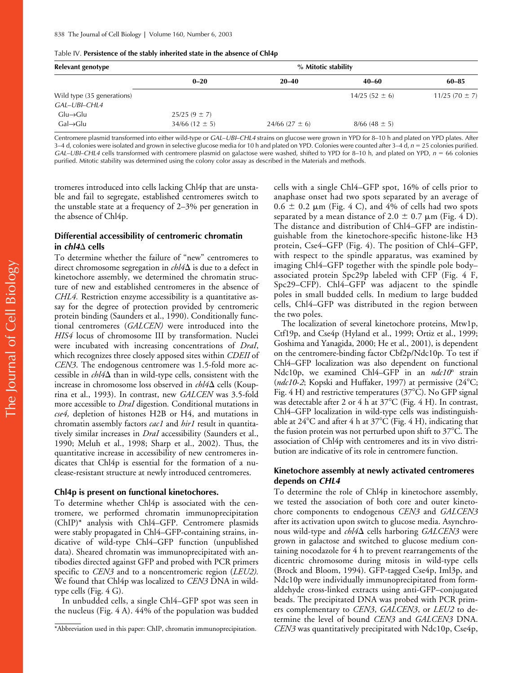|  | Table IV. Persistence of the stably inherited state in the absence of Chl4p |
|--|-----------------------------------------------------------------------------|
|--|-----------------------------------------------------------------------------|

| Relevant genotype          |                      | % Mitotic stability  |                   |                   |
|----------------------------|----------------------|----------------------|-------------------|-------------------|
|                            | $0 - 20$             | $20 - 40$            | 40–60             | $60 - 85$         |
| Wild type (35 generations) |                      |                      | $14/25(52 \pm 6)$ | $11/25(70 \pm 7)$ |
| GAL-UBI-CHL4               |                      |                      |                   |                   |
| $Glu \rightarrow Glu$      | $25/25(9 \pm 7)$     |                      |                   |                   |
| $Gal\rightarrow Glu$       | $34/66$ (12 $\pm$ 5) | $24/66$ (27 $\pm$ 6) | $8/66(48 \pm 5)$  |                   |

Centromere plasmid transformed into either wild-type or *GAL*–*UBI*–*CHL4* strains on glucose were grown in YPD for 8–10 h and plated on YPD plates. After 3–4 d, colonies were isolated and grown in selective glucose media for 10 h and plated on YPD. Colonies were counted after 3–4 d,  $n = 25$  colonies purified. *GAL*–*UBI*–*CHL4* cells transformed with centromere plasmid on galactose were washed, shifted to YPD for 8–10 h, and plated on YPD, *n* 66 colonies purified. Mitotic stability was determined using the colony color assay as described in the Materials and methods.

tromeres introduced into cells lacking Chl4p that are unstable and fail to segregate, established centromeres switch to the unstable state at a frequency of 2–3% per generation in the absence of Chl4p.

# **Differential accessibility of centromeric chromatin in** *chl4* **cells**

To determine whether the failure of "new" centromeres to direct chromosome segregation in  $\ell h/4\Delta$  is due to a defect in kinetochore assembly, we determined the chromatin structure of new and established centromeres in the absence of *CHL4.* Restriction enzyme accessibility is a quantitative assay for the degree of protection provided by centromeric protein binding (Saunders et al., 1990). Conditionally functional centromeres (*GALCEN)* were introduced into the *HIS4* locus of chromosome III by transformation. Nuclei were incubated with increasing concentrations of *DraI*, which recognizes three closely apposed sites within *CDEII* of *CEN3*. The endogenous centromere was 1.5-fold more accessible in  $\ell h/4\Delta$  than in wild-type cells, consistent with the increase in chromosome loss observed in  $\ell h/4\Delta$  cells (Kouprina et al., 1993). In contrast, new *GALCEN* was 3.5-fold more accessible to *DraI* digestion*.* Conditional mutations in *cse4,* depletion of histones H2B or H4, and mutations in chromatin assembly factors *cac1* and *hir1* result in quantitatively similar increases in *DraI* accessibility (Saunders et al., 1990; Meluh et al., 1998; Sharp et al., 2002). Thus, the quantitative increase in accessibility of new centromeres indicates that Chl4p is essential for the formation of a nuclease-resistant structure at newly introduced centromeres.

### **Chl4p is present on functional kinetochores.**

To determine whether Chl4p is associated with the centromere, we performed chromatin immunoprecipitation (ChIP)\* analysis with Chl4–GFP. Centromere plasmids were stably propagated in Chl4–GFP-containing strains, indicative of wild-type Chl4–GFP function (unpublished data). Sheared chromatin was immunoprecipitated with antibodies directed against GFP and probed with PCR primers specific to *CEN3* and to a noncentromeric region (*LEU2).* We found that Chl4p was localized to *CEN3* DNA in wildtype cells (Fig. 4 G).

In unbudded cells, a single Chl4–GFP spot was seen in the nucleus (Fig. 4 A). 44% of the population was budded

cells with a single Chl4–GFP spot, 16% of cells prior to anaphase onset had two spots separated by an average of  $0.6 \pm 0.2$  µm (Fig. 4 C), and 4% of cells had two spots separated by a mean distance of 2.0  $\pm$  0.7 µm (Fig. 4 D). The distance and distribution of Chl4–GFP are indistinguishable from the kinetochore-specific histone-like H3 protein, Cse4–GFP (Fig. 4). The position of Chl4–GFP, with respect to the spindle apparatus, was examined by imaging Chl4–GFP together with the spindle pole body– associated protein Spc29p labeled with CFP (Fig. 4 F, Spc29–CFP). Chl4–GFP was adjacent to the spindle poles in small budded cells. In medium to large budded cells, Chl4–GFP was distributed in the region between the two poles.

The localization of several kinetochore proteins, Mtw1p, Ctf19p, and Cse4p (Hyland et al., 1999; Ortiz et al., 1999; Goshima and Yanagida, 2000; He et al., 2001), is dependent on the centromere-binding factor Cbf2p/Ndc10p. To test if Chl4–GFP localization was also dependent on functional Ndc10p, we examined Chl4–GFP in an *ndc10<sup>ts</sup>* strain (ndc10-2; Kopski and Huffaker, 1997) at permissive (24°C; Fig. 4 H) and restrictive temperatures ( $37^{\circ}$ C). No GFP signal was detectable after 2 or 4 h at  $37^{\circ}$ C (Fig. 4 H). In contrast, Chl4–GFP localization in wild-type cells was indistinguishable at  $24^{\circ}$ C and after 4 h at  $37^{\circ}$ C (Fig. 4 H), indicating that the fusion protein was not perturbed upon shift to  $37^{\circ}$ C. The association of Chl4p with centromeres and its in vivo distribution are indicative of its role in centromere function.

# **Kinetochore assembly at newly activated centromeres depends on** *CHL4*

To determine the role of Chl4p in kinetochore assembly, we tested the association of both core and outer kinetochore components to endogenous *CEN3* and *GALCEN3* after its activation upon switch to glucose media. Asynchronous wild-type and *chl4* $\Delta$  cells harboring *GALCEN3* were grown in galactose and switched to glucose medium containing nocodazole for 4 h to prevent rearrangements of the dicentric chromosome during mitosis in wild-type cells (Brock and Bloom, 1994). GFP-tagged Cse4p, Iml3p, and Ndc10p were individually immunoprecipitated from formaldehyde cross-linked extracts using anti-GFP–conjugated beads. The precipitated DNA was probed with PCR primers complementary to *CEN3*, *GALCEN3*, or *LEU2* to determine the level of bound *CEN3* and *GALCEN3* DNA. \*Abbreviation used in this paper: ChIP, chromatin immunoprecipitation. *CEN3* was quantitatively precipitated with Ndc10p, Cse4p,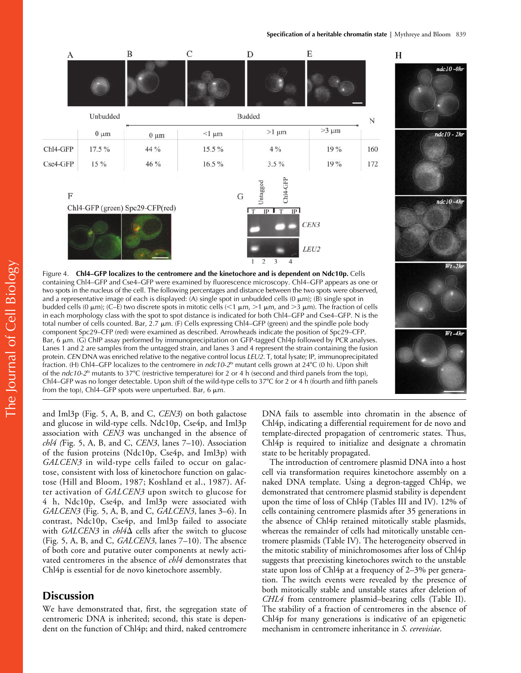

and Iml3p (Fig. 5, A, B, and C, *CEN3*) on both galactose and glucose in wild-type cells. Ndc10p, Cse4p, and Iml3p association with *CEN3* was unchanged in the absence of *chl4 (*Fig. 5, A, B, and C, *CEN3*, lanes 7–10). Association of the fusion proteins (Ndc10p, Cse4p, and Iml3p) with *GALCEN3* in wild-type cells failed to occur on galactose, consistent with loss of kinetochore function on galactose (Hill and Bloom, 1987; Koshland et al., 1987). After activation of *GALCEN3* upon switch to glucose for 4 h, Ndc10p, Cse4p, and Iml3p were associated with *GALCEN3* (Fig. 5, A, B, and C, *GALCEN3*, lanes 3–6). In contrast, Ndc10p, Cse4p, and Iml3p failed to associate with *GALCEN3* in  $\ell h/4\Delta$  cells after the switch to glucose (Fig. 5, A, B, and C, *GALCEN3*, lanes 7–10). The absence of both core and putative outer components at newly activated centromeres in the absence of *chl4* demonstrates that Chl4p is essential for de novo kinetochore assembly.

# **Discussion**

We have demonstrated that, first, the segregation state of centromeric DNA is inherited; second, this state is dependent on the function of Chl4p; and third, naked centromere DNA fails to assemble into chromatin in the absence of Chl4p, indicating a differential requirement for de novo and template-directed propagation of centromeric states. Thus, Chl4p is required to initialize and designate a chromatin state to be heritably propagated.

The introduction of centromere plasmid DNA into a host cell via transformation requires kinetochore assembly on a naked DNA template. Using a degron-tagged Chl4p, we demonstrated that centromere plasmid stability is dependent upon the time of loss of Chl4p (Tables III and IV). 12% of cells containing centromere plasmids after 35 generations in the absence of Chl4p retained mitotically stable plasmids, whereas the remainder of cells had mitotically unstable centromere plasmids (Table IV). The heterogeneity observed in the mitotic stability of minichromosomes after loss of Chl4p suggests that preexisting kinetochores switch to the unstable state upon loss of Chl4p at a frequency of 2–3% per generation. The switch events were revealed by the presence of both mitotically stable and unstable states after deletion of *CHL4* from centromere plasmid–bearing cells (Table II). The stability of a fraction of centromeres in the absence of Chl4p for many generations is indicative of an epigenetic mechanism in centromere inheritance in *S. cerevisiae*.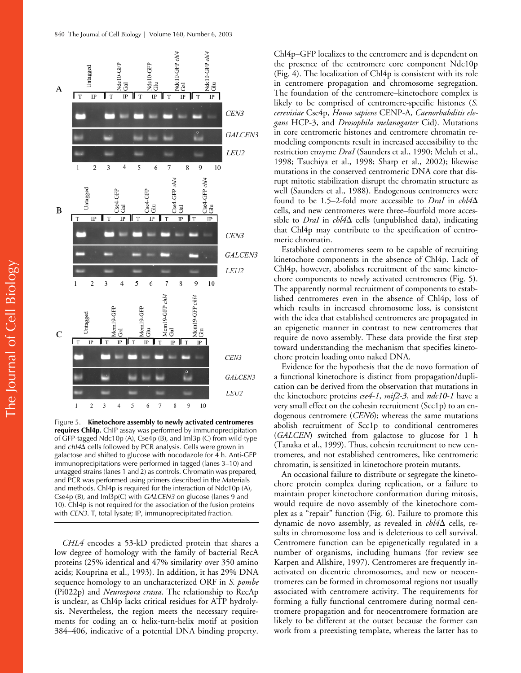

Figure 5. **Kinetochore assembly to newly activated centromeres requires Chl4p.** ChIP assay was performed by immunoprecipitation of GFP-tagged Ndc10p (A), Cse4p (B), and Iml3p (C) from wild-type and *chl4*<sup> $\Delta$ </sup> cells followed by PCR analysis. Cells were grown in galactose and shifted to glucose with nocodazole for 4 h. Anti-GFP immunoprecipitations were performed in tagged (lanes 3–10) and untagged strains (lanes 1 and 2) as controls. Chromatin was prepared, and PCR was performed using primers described in the Materials and methods. Chl4p is required for the interaction of Ndc10p (A), Cse4p (B), and Iml3p(C) with *GALCEN3* on glucose (lanes 9 and 10). Chl4p is not required for the association of the fusion proteins with *CEN3*. T, total lysate; IP, immunoprecipitated fraction.

*CHL4* encodes a 53-kD predicted protein that shares a low degree of homology with the family of bacterial RecA proteins (25% identical and 47% similarity over 350 amino acids; Kouprina et al., 1993). In addition, it has 29% DNA sequence homology to an uncharacterized ORF in *S. pombe* (Pi022p) and *Neurospora crassa*. The relationship to RecAp is unclear, as Chl4p lacks critical residues for ATP hydrolysis. Nevertheless, the region meets the necessary requirements for coding an  $\alpha$  helix-turn-helix motif at position 384–406, indicative of a potential DNA binding property.

Chl4p–GFP localizes to the centromere and is dependent on the presence of the centromere core component Ndc10p (Fig. 4). The localization of Chl4p is consistent with its role in centromere propagation and chromosome segregation. The foundation of the centromere–kinetochore complex is likely to be comprised of centromere-specific histones (*S. cerevisiae* Cse4p, *Homo sapiens* CENP-A, *Caenorhabditis elegans* HCP-3, and *Drosophila melanogaster* Cid). Mutations in core centromeric histones and centromere chromatin remodeling components result in increased accessibility to the restriction enzyme *DraI* (Saunders et al., 1990; Meluh et al., 1998; Tsuchiya et al., 1998; Sharp et al., 2002); likewise mutations in the conserved centromeric DNA core that disrupt mitotic stabilization disrupt the chromatin structure as well (Saunders et al., 1988). Endogenous centromeres were found to be 1.5–2-fold more accessible to *DraI* in *chl4* cells, and new centromeres were three–fourfold more accessible to *DraI* in  $\text{chl4}\Delta$  cells (unpublished data), indicating that Chl4p may contribute to the specification of centromeric chromatin.

Established centromeres seem to be capable of recruiting kinetochore components in the absence of Chl4p. Lack of Chl4p, however, abolishes recruitment of the same kinetochore components to newly activated centromeres (Fig. 5). The apparently normal recruitment of components to established centromeres even in the absence of Chl4p, loss of which results in increased chromosome loss, is consistent with the idea that established centromeres are propagated in an epigenetic manner in contrast to new centromeres that require de novo assembly. These data provide the first step toward understanding the mechanism that specifies kinetochore protein loading onto naked DNA.

Evidence for the hypothesis that the de novo formation of a functional kinetochore is distinct from propagation/duplication can be derived from the observation that mutations in the kinetochore proteins *cse4*-*1*, *mif2*-*3*, and *ndc10*-*1* have a very small effect on the cohesin recruitment (Scc1p) to an endogenous centromere (*CEN6*); whereas the same mutations abolish recruitment of Scc1p to conditional centromeres (*GALCEN*) switched from galactose to glucose for 1 h (Tanaka et al., 1999). Thus, cohesin recruitment to new centromeres, and not established centromeres, like centromeric chromatin, is sensitized in kinetochore protein mutants.

An occasional failure to distribute or segregate the kinetochore protein complex during replication, or a failure to maintain proper kinetochore conformation during mitosis, would require de novo assembly of the kinetochore complex as a "repair" function (Fig. 6). Failure to promote this dynamic de novo assembly, as revealed in  $\ell h \overline{l} 4\Delta$  cells, results in chromosome loss and is deleterious to cell survival. Centromere function can be epigenetically regulated in a number of organisms, including humans (for review see Karpen and Allshire, 1997). Centromeres are frequently inactivated on dicentric chromosomes, and new or neocentromeres can be formed in chromosomal regions not usually associated with centromere activity. The requirements for forming a fully functional centromere during normal centromere propagation and for neocentromere formation are likely to be different at the outset because the former can work from a preexisting template, whereas the latter has to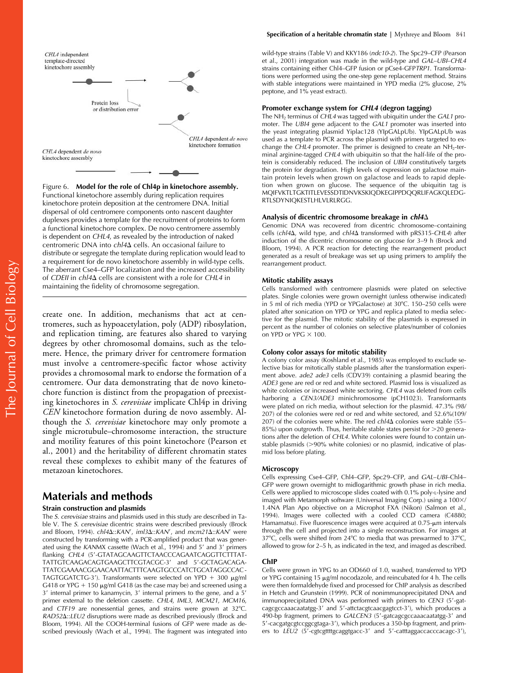

Figure 6. **Model for the role of Chl4p in kinetochore assembly.** Functional kinetochore assembly during replication requires kinetochore protein deposition at the centromere DNA. Initial dispersal of old centromere components onto nascent daughter duplexes provides a template for the recruitment of proteins to form a functional kinetochore complex. De novo centromere assembly is dependent on *CHL4*, as revealed by the introduction of naked centromeric DNA into *chl4*<sup> $\Delta$ </sup> cells. An occasional failure to distribute or segregate the template during replication would lead to a requirement for de novo kinetochore assembly in wild-type cells. The aberrant Cse4–GFP localization and the increased accessibility of *CDEII* in *chl4* cells are consistent with a role for *CHL4* in maintaining the fidelity of chromosome segregation.

create one. In addition, mechanisms that act at centromeres, such as hypoacetylation, poly (ADP) ribosylation, and replication timing, are features also shared to varying degrees by other chromosomal domains, such as the telomere. Hence, the primary driver for centromere formation must involve a centromere-specific factor whose activity provides a chromosomal mark to endorse the formation of a centromere. Our data demonstrating that de novo kinetochore function is distinct from the propagation of preexisting kinetochores in *S. cerevisiae* implicate Chl4p in driving *CEN* kinetochore formation during de novo assembly. Although the *S. cerevisiae* kinetochore may only promote a single microtubule–chromosome interaction, the structure and motility features of this point kinetochore (Pearson et al., 2001) and the heritability of different chromatin states reveal these complexes to exhibit many of the features of metazoan kinetochores.

# **Materials and methods**

### **Strain construction and plasmids**

The *S. cerevisiae* strains and plasmids used in this study are described in Table V. The *S. cerevisiae* dicentric strains were described previously (Brock and Bloom, 1994). *chl4* $\Delta$ ::*KAN'*, *iml3* $\Delta$ ::*KAN'*, and *mcm21* $\Delta$ ::*KAN'* were constructed by transforming with a PCR-amplified product that was generated using the *KANMX* cassette (Wach et al., 1994) and 5' and 3' primers flanking *CHL4* (5 -GTATAGCAAGTTCTAACCCAGAATCAGGTTCTTTAT-TATTGTCAAGACAGTGAAGCTTCGTACGC-3' and 5'-GCTAGACAGA-TTATCGAAAACGGAACAATTACTTTCAAGTGCCCATCTGCATAGGCCAC-TAGTGGATCTG-3'). Transformants were selected on YPD  $+$  300  $\mu$ g/ml G418 or YPG  $+$  150  $\mu$ g/ml G418 (as the case may be) and screened using a 3' internal primer to kanamycin, 3' internal primers to the gene, and a 5' primer external to the deletion cassette. *CHL4*, *IML3*, *MCM21*, *MCM16*, and *CTF19* are nonessential genes, and strains were grown at 32°C. *RAD52*::*LEU2* disruptions were made as described previously (Brock and Bloom, 1994). All the COOH-terminal fusions of GFP were made as described previously (Wach et al., 1994). The fragment was integrated into

#### **Specification of a heritable chromatin state |** Mythreye and Bloom 841

wild-type strains (Table V) and KKY186 (*ndc10*-*2*). The Spc29–CFP (Pearson et al., 2001) integration was made in the wild-type and *GAL*–*UBI*–*CHL4* strains containing either Chl4–GFP fusion or pCse4-GFP*TRP1*. Transformations were performed using the one-step gene replacement method. Strains with stable integrations were maintained in YPD media (2% glucose, 2% peptone, and 1% yeast extract).

### **Promoter exchange system for** *CHL4* **(degron tagging)**

The NH2 terminus of *CHL4* was tagged with ubiquitin under the *GAL1* promoter. The *UBI4* gene adjacent to the *GAL1* promoter was inserted into the yeast integrating plasmid Yiplac128 (YIpGALpUb). YIpGALpUb was used as a template to PCR across the plasmid with primers targeted to exchange the CHL4 promoter. The primer is designed to create an NH<sub>2</sub>-terminal arginine-tagged *CHL4* with ubiquitin so that the half-life of the protein is considerably reduced. The inclusion of *UBI4* constitutively targets the protein for degradation. High levels of expression on galactose maintain protein levels when grown on galactose and leads to rapid depletion when grown on glucose. The sequence of the ubiquitin tag is MQIFVKTLTGKTITLEVESSDTIDNVKSKIQDKEGIPPDQQRLIFAGKQLEDG-RTLSDYNIQKESTLHLVLRLRGG.

### **Analysis of dicentric chromosome breakage in** *chl4*

Genomic DNA was recovered from dicentric chromosome–containing cells (*chl4*, wild type, and *chl4* transformed with pRS315-*CHL4*) after induction of the dicentric chromosome on glucose for 3–9 h (Brock and Bloom, 1994). A PCR reaction for detecting the rearrangement product generated as a result of breakage was set up using primers to amplify the rearrangement product.

### **Mitotic stability assays**

Cells transformed with centromere plasmids were plated on selective plates. Single colonies were grown overnight (unless otherwise indicated) in 5 ml of rich media (YPD or YPGalactose) at 30°C. 150-250 cells were plated after sonication on YPD or YPG and replica plated to media selective for the plasmid. The mitotic stability of the plasmids is expressed in percent as the number of colonies on selective plates/number of colonies on YPD or YPG  $\times$  100.

### **Colony color assays for mitotic stability**

A colony color assay (Koshland et al., 1985) was employed to exclude selective bias for mitotically stable plasmids after the transformation experiment above. *ade2 ade3* cells (CDV39) containing a plasmid bearing the *ADE3* gene are red or red and white sectored. Plasmid loss is visualized as white colonies or increased white sectoring. *CHL4* was deleted from cells harboring a *CEN3/ADE3* minichromosome (pCH1023). Transformants were plated on rich media, without selection for the plasmid. 47.3% (98/ 207) of the colonies were red or red and white sectored, and 52.6%(109/ 207) of the colonies were white. The red *chl4* $\Delta$  colonies were stable (55–  $85\%$ ) upon outgrowth. Thus, heritable stable states persist for  $>$ 20 generations after the deletion of *CHL4.* White colonies were found to contain unstable plasmids (>90% white colonies) or no plasmid, indicative of plasmid loss before plating.

#### **Microscopy**

Cells expressing Cse4–GFP, Chl4–GFP, Spc29–CFP, and *GAL*–*UBI*–Chl4– GFP were grown overnight to midlogarithmic growth phase in rich media. Cells were applied to microscope slides coated with 0.1% poly-L-lysine and imaged with Metamorph software (Universal Imaging Corp.) using a 100×/ 1.4NA Plan Apo objective on a Microphot FXA (Nikon) (Salmon et al., 1994). Images were collected with a cooled CCD camera (C4880; Hamamatsu). Five fluorescence images were acquired at 0.75-um intervals through the cell and projected into a single reconstruction. For images at  $37^{\circ}$ C, cells were shifted from  $24^{\circ}$ C to media that was prewarmed to  $37^{\circ}$ C, allowed to grow for 2–5 h, as indicated in the text, and imaged as described.

#### **ChIP**

Cells were grown in YPG to an OD660 of 1.0, washed, transferred to YPD or YPG containing 15 µg/ml nocodazole, and reincubated for 4 h. The cells were then formaldehyde fixed and processed for ChIP analysis as described in Hetch and Grunstein (1999). PCR of nonimmunoprecipitated DNA and immunoprecipitated DNA was performed with primers to *CEN3* (5 -gatcagcgccaaacaatatgg-3' and 5'-attctacgtcaacgagtcct-3'), which produces a 490-bp fragment, primers to GALCEN3 (5'-gatcagcgccaaacaatatgg-3' and 5 -cacgatgcgtccggcgtaga-3 ), which produces a 350-bp fragment, and primers to LEU2 (5'-cgtcgttttgcaggtgacc-3' and 5'-catttaggaccacccacagc-3'),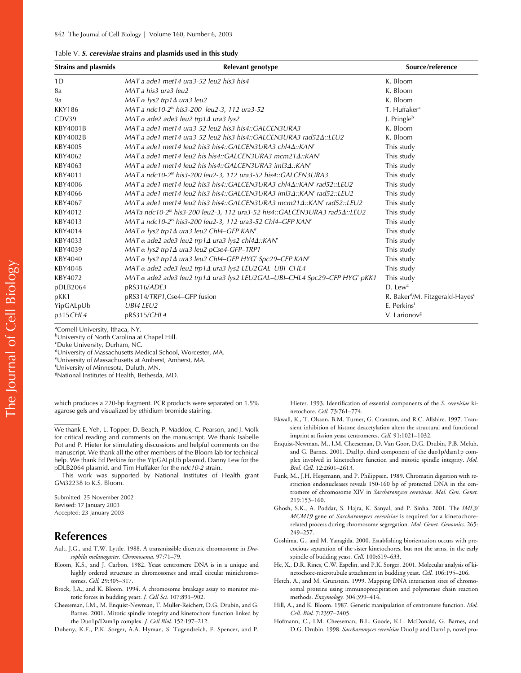| <b>Strains and plasmids</b> | Relevant genotype                                                                              | Source/reference                                        |
|-----------------------------|------------------------------------------------------------------------------------------------|---------------------------------------------------------|
| 1D                          | MAT a ade1 met14 ura3-52 leu2 his3 his4                                                        | K. Bloom                                                |
| 8a                          | MAT a his3 ura3 leu2                                                                           | K. Bloom                                                |
| 9a                          | MAT $\alpha$ lys2 trp1 $\Delta$ ura3 leu2                                                      | K. Bloom                                                |
| <b>KKY186</b>               | MAT a ndc10-2 <sup>ts</sup> his3-200 leu2-3, 112 ura3-52                                       | T. Huffaker <sup>a</sup>                                |
| CDV39                       | MAT $\alpha$ ade2 ade3 leu2 trp1 $\Delta$ ura3 lys2                                            | J. Pringle <sup>b</sup>                                 |
| KBY4001B                    | MAT a ade1 met14 ura3-52 leu2 his3 his4::GALCEN3URA3                                           | K. Bloom                                                |
| KBY4002B                    | MAT a ade1 met14 ura3-52 leu2 his3 his4::GALCEN3URA3 rad524::LEU2                              | K. Bloom                                                |
| KBY4005                     | MAT a ade1 met14 leu2 his3 his4::GALCEN3URA3 chl4 $\Delta$ ::KAN'                              | This study                                              |
| KBY4062                     | MAT a ade1 met14 leu2 his his4::GALCEN3URA3 mcm214::KAN'                                       | This study                                              |
| KBY4063                     | MAT a ade1 met14 leu2 his his4::GALCEN3URA3 iml3 $\Delta$ ::KAN'                               | This study                                              |
| KBY4011                     | MAT a ndc10-2 <sup>ts</sup> his3-200 leu2-3, 112 ura3-52 his4::GALCEN3URA3                     | This study                                              |
| KBY4006                     | MAT a ade1 met14 leu2 his3 his4::GALCEN3URA3 chl44::KAN' rad52::LEU2                           | This study                                              |
| KBY4066                     | MAT a ade1 met14 leu2 his3 his4::GALCEN3URA3 iml34::KAN' rad52::LEU2                           | This study                                              |
| KBY4067                     | MAT a ade1 met14 leu2 his3 his4::GALCEN3URA3 mcm21 $\Delta$ ::KAN' rad52::LEU2                 | This study                                              |
| KBY4012                     | MATa ndc10-2 <sup>ts</sup> his3-200 leu2-3, 112 ura3-52 his4::GALCEN3URA3 rad5 $\Delta$ ::LEU2 | This study                                              |
| KBY4013                     | MAT a ndc10-2 <sup>ts</sup> his3-200 leu2-3, 112 ura3-52 Chl4–GFP KAN <sup>r</sup>             | This study                                              |
| KBY4014                     | MAT $\alpha$ lys2 trp1 $\Delta$ ura3 leu2 Chl4–GFP KAN'                                        | This study                                              |
| KBY4033                     | MAT $\alpha$ ade2 ade3 leu2 trp1 $\Delta$ ura3 lys2 chl4 $\Delta$ ::KAN'                       | This study                                              |
| KBY4039                     | MAT $\alpha$ lys2 trp1 $\Delta$ ura3 leu2 pCse4-GFP-TRP1                                       | This study                                              |
| KBY4040                     | $MAT \alpha$ lys2 trp1 $\Delta$ ura3 leu2 Chl4–GFP HYG' Spc29–CFP KAN'                         | This study                                              |
| KBY4048                     | $MAT \alpha$ ade2 ade3 leu2 trp1 $\Delta$ ura3 lys2 LEU2GAL-UBI-CHL4                           | This study                                              |
| KBY4072                     | MAT a ade2 ade3 leu2 trp1 $\Delta$ ura3 lys2 LEU2GAL-UBI-CHL4 Spc29-CFP HYG' pKK1              | This study                                              |
| pDLB2064                    | pRS316/ADE3                                                                                    | $D.$ Lew <sup>c</sup>                                   |
| pKK1                        | pRS314/TRP1,Cse4-GFP fusion                                                                    | R. Baker <sup>d</sup> /M. Fitzgerald-Hayes <sup>e</sup> |
| YipGALpUb                   | <b>UBI4 LEU2</b>                                                                               | E. Perkins <sup>f</sup>                                 |
| p315CHL4                    | pRS315/CHL4                                                                                    | V. Larionov <sup>8</sup>                                |

<sup>a</sup>Cornell University, Ithaca, NY.

b University of North Carolina at Chapel Hill.

c Duke University, Durham, NC.

d University of Massachusetts Medical School, Worcester, MA.

e University of Massachusetts at Amherst, Amherst, MA.

f University of Minnesota, Duluth, MN.

g National Institutes of Health, Bethesda, MD.

which produces a 220-bp fragment. PCR products were separated on 1.5% agarose gels and visualized by ethidium bromide staining.

We thank E. Yeh, L. Topper, D. Beach, P. Maddox, C. Pearson, and J. Molk for critical reading and comments on the manuscript. We thank Isabelle Pot and P. Hieter for stimulating discussions and helpful comments on the manuscript. We thank all the other members of the Bloom lab for technical help. We thank Ed Perkins for the YIpGALpUb plasmid, Danny Lew for the pDLB2064 plasmid, and Tim Huffaker for the *ndc10-2* strain.

This work was supported by National Institutes of Health grant GM32238 to K.S. Bloom.

Submitted: 25 November 2002 Revised: 17 January 2003 Accepted: 23 January 2003

# **References**

- Ault, J.G., and T.W. Lyttle. 1988. A transmissible dicentric chromosome in *Drosophila melanogaster. Chromosoma.* 97:71–79.
- Bloom, K.S., and J. Carbon. 1982. Yeast centromere DNA is in a unique and highly ordered structure in chromosomes and small circular minichromosomes. *Cell.* 29:305–317.
- Brock, J.A., and K. Bloom. 1994. A chromosome breakage assay to monitor mitotic forces in budding yeast. *J. Cell Sci.* 107:891–902.
- Cheeseman, I.M., M. Enquist-Newman, T. Muller-Reichert, D.G. Drubin, and G. Barnes. 2001. Mitotic spindle integrity and kinetochore function linked by the Duo1p/Dam1p complex. *J. Cell Biol.* 152:197–212.

Doheny, K.F., P.K. Sorger, A.A. Hyman, S. Tugendreich, F. Spencer, and P.

Hieter. 1993. Identification of essential components of the *S. cerevisiae* kinetochore. *Cell.* 73:761–774.

- Ekwall, K., T. Olsson, B.M. Turner, G. Cranston, and R.C. Allshire. 1997. Transient inhibition of histone deacetylation alters the structural and functional imprint at fission yeast centromeres. *Cell.* 91:1021–1032.
- Enquist-Newman, M., I.M. Cheeseman, D. Van Goor, D.G. Drubin, P.B. Meluh, and G. Barnes. 2001. Dad1p, third component of the duo1p/dam1p complex involved in kinetochore function and mitotic spindle integrity. *Mol. Biol. Cell.* 12:2601–2613.
- Funk, M., J.H. Hegemann, and P. Philippsen. 1989. Chromatin digestion with restriction endonucleases reveals 150-160 bp of protected DNA in the centromere of chromosome XIV in *Saccharomyces cerevisiae*. *Mol. Gen. Genet.* 219:153–160.
- Ghosh, S.K., A. Poddar, S. Hajra, K. Sanyal, and P. Sinha. 2001. The *IML3/ MCM19* gene of *Saccharomyces cerevisiae* is required for a kinetochorerelated process during chromosome segregation. *Mol. Genet. Genomics*. 265: 249–257.
- Goshima, G., and M. Yanagida. 2000. Establishing biorientation occurs with precocious separation of the sister kinetochores, but not the arms, in the early spindle of budding yeast. *Cell.* 100:619–633.
- He, X., D.R. Rines, C.W. Espelin, and P.K. Sorger. 2001. Molecular analysis of kinetochore-microtubule attachment in budding yeast. *Cell.* 106:195–206.
- Hetch, A., and M. Grunstein. 1999. Mapping DNA interaction sites of chromosomal proteins using immunoprecipitation and polymerase chain reaction methods. *Enzymology.* 304:399–414.
- Hill, A., and K. Bloom. 1987. Genetic manipulation of centromere function. *Mol. Cell. Biol.* 7:2397–2405.
- Hofmann, C., I.M. Cheeseman, B.L. Goode, K.L. McDonald, G. Barnes, and D.G. Drubin. 1998. *Saccharomyces cerevisiae* Duo1p and Dam1p, novel pro-